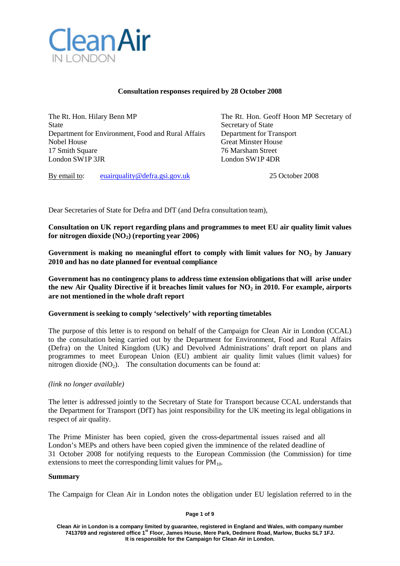

### **Consultation responses required by 28 October 2008**

The Rt. Hon. Hilary Benn MP The Rt. Hon. Geoff Hoon MP Secretary of State State Secretary of State Secretary of State Department for Environment, Food and Rural Affairs Department for Transport Nobel House Great Minster House<br>17 Smith Square 6 17 Smith Square 6 17 Smith Square 6 17 Smith Square 6 18 18 19 19 19 19 19 19 19 19 19 19 1 17 Smith Square London SW1P 3JR London SW1P 4DR

By email to: [euairquality@defra.gsi.gov.uk](mailto:euairquality@defra.gsi.gov.uk) 25 October 2008

Dear Secretaries of State for Defra and DfT (and Defra consultation team),

**Consultation on UK report regarding plans and programmes to meet EU air quality limit values for nitrogen dioxide** (NO<sub>2</sub>) (reporting year 2006)

**Government is making no meaningful effort to comply with limit values for NO2 by January 2010 and has no date planned for eventual compliance**

**Government has no contingency plans to address time extension obligations that will arise under the new Air Quality Directive if it breaches limit values for NO2 in 2010. For example, airports are not mentioned in the whole draft report**

## **Government is seeking to comply 'selectively' with reporting timetables**

The purpose of this letter is to respond on behalf of the Campaign for Clean Air in London (CCAL) to the consultation being carried out by the Department for Environment, Food and Rural Affairs (Defra) on the United Kingdom (UK) and Devolved Administrations' draft report on plans and programmes to meet European Union (EU) ambient air quality limit values (limit values) for nitrogen dioxide  $(NO<sub>2</sub>)$ . The consultation documents can be found at:

### *(link no longer available)*

The letter is addressed jointly to the Secretary of State for Transport because CCAL understands that the Department for Transport (DfT) has joint responsibility for the UK meeting its legal obligations in respect of air quality.

The Prime Minister has been copied, given the cross-departmental issues raised and all London's MEPs and others have been copied given the imminence of the related deadline of 31 October 2008 for notifying requests to the European Commission (the Commission) for time extensions to meet the corresponding limit values for  $PM_{10}$ .

#### **Summary**

The Campaign for Clean Air in London notes the obligation under EU legislation referred to in the

#### **Page 1 of 9**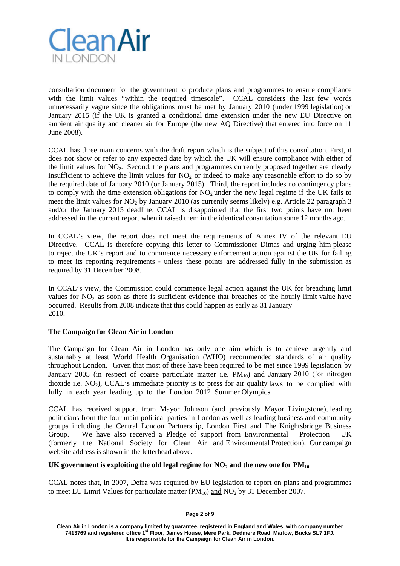

consultation document for the government to produce plans and programmes to ensure compliance with the limit values "within the required timescale". CCAL considers the last few words unnecessarily vague since the obligations must be met by January 2010 (under 1999 legislation) or January 2015 (if the UK is granted a conditional time extension under the new EU Directive on ambient air quality and cleaner air for Europe (the new AQ Directive) that entered into force on 11 June 2008).

CCAL has three main concerns with the draft report which is the subject of this consultation. First, it does not show or refer to any expected date by which the UK will ensure compliance with either of the limit values for  $NO<sub>2</sub>$ . Second, the plans and programmes currently proposed together are clearly insufficient to achieve the limit values for  $NO<sub>2</sub>$  or indeed to make any reasonable effort to do so by the required date of January 2010 (or January 2015). Third, the report includes no contingency plans to comply with the time extension obligations for  $NO<sub>2</sub>$  under the new legal regime if the UK fails to meet the limit values for  $NO_2$  by January 2010 (as currently seems likely) e.g. Article 22 paragraph 3 and/or the January 2015 deadline. CCAL is disappointed that the first two points have not been addressed in the current report when it raised them in the identical consultation some 12 months ago.

In CCAL's view, the report does not meet the requirements of Annex IV of the relevant EU Directive. CCAL is therefore copying this letter to Commissioner Dimas and urging him please to reject the UK's report and to commence necessary enforcement action against the UK for failing to meet its reporting requirements - unless these points are addressed fully in the submission as required by 31 December 2008.

In CCAL's view, the Commission could commence legal action against the UK for breaching limit values for  $NO<sub>2</sub>$  as soon as there is sufficient evidence that breaches of the hourly limit value have occurred. Results from 2008 indicate that this could happen as early as 31 January 2010.

### **The Campaign for Clean Air in London**

The Campaign for Clean Air in London has only one aim which is to achieve urgently and sustainably at least World Health Organisation (WHO) recommended standards of air quality throughout London. Given that most of these have been required to be met since 1999 legislation by January 2005 (in respect of coarse particulate matter i.e.  $PM_{10}$ ) and January 2010 (for nitrogen dioxide i.e.  $NO<sub>2</sub>$ ), CCAL's immediate priority is to press for air quality laws to be complied with fully in each year leading up to the London 2012 Summer Olympics.

CCAL has received support from Mayor Johnson (and previously Mayor Livingstone), leading politicians from the four main political parties in London as well as leading business and community groups including the Central London Partnership, London First and The Knightsbridge Business Group. We have also received a Pledge of support from Environmental Protection UK (formerly the National Society for Clean Air and Environmental Protection). Our campaign website address is shown in the letterhead above.

### UK government is exploiting the old legal regime for  $NO_2$  and the new one for  $PM_{10}$

CCAL notes that, in 2007, Defra was required by EU legislation to report on plans and programmes to meet EU Limit Values for particulate matter  $(PM_{10})$  and  $NO<sub>2</sub>$  by 31 December 2007.

**Page 2 of 9**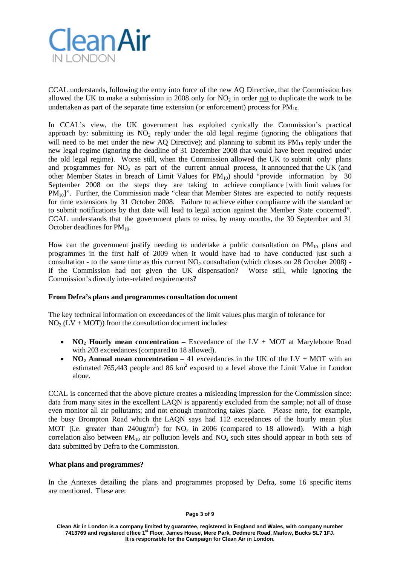

CCAL understands, following the entry into force of the new AQ Directive, that the Commission has allowed the UK to make a submission in 2008 only for  $NO<sub>2</sub>$  in order not to duplicate the work to be undertaken as part of the separate time extension (or enforcement) process for  $\tilde{PM}_{10}$ .

In CCAL's view, the UK government has exploited cynically the Commission's practical approach by: submitting its  $NO<sub>2</sub>$  reply under the old legal regime (ignoring the obligations that will need to be met under the new AQ Directive); and planning to submit its  $PM_{10}$  reply under the new legal regime (ignoring the deadline of 31 December 2008 that would have been required under the old legal regime). Worse still, when the Commission allowed the UK to submit only plans and programmes for  $NO<sub>2</sub>$  as part of the current annual process, it announced that the UK (and other Member States in breach of Limit Values for  $PM_{10}$ ) should "provide information by 30 September 2008 on the steps they are taking to achieve compliance [with limit values for PM<sub>10</sub>]". Further, the Commission made "clear that Member States are expected to notify requests for time extensions by 31 October 2008. Failure to achieve either compliance with the standard or to submit notifications by that date will lead to legal action against the Member State concerned". CCAL understands that the government plans to miss, by many months, the 30 September and 31 October deadlines for PM<sub>10</sub>.

How can the government justify needing to undertake a public consultation on  $PM_{10}$  plans and programmes in the first half of 2009 when it would have had to have conducted just such a consultation - to the same time as this current  $NO<sub>2</sub>$  consultation (which closes on 28 October 2008) if the Commission had not given the UK dispensation? Worse still, while ignoring the Commission's directly inter-related requirements?

### **From Defra's plans and programmes consultation document**

The key technical information on exceedances of the limit values plus margin of tolerance for  $NO<sub>2</sub> (LV + MOT)$  from the consultation document includes:

- **NO2 Hourly mean concentration –** Exceedance of the LV + MOT at Marylebone Road with 203 exceedances (compared to 18 allowed).
- **NO<sub>2</sub> Annual mean concentration** 41 exceedances in the UK of the LV + MOT with an estimated 765,443 people and 86  $km^2$  exposed to a level above the Limit Value in London alone.

CCAL is concerned that the above picture creates a misleading impression for the Commission since: data from many sites in the excellent LAQN is apparently excluded from the sample; not all of those even monitor all air pollutants; and not enough monitoring takes place. Please note, for example, the busy Brompton Road which the LAQN says had 112 exceedances of the hourly mean plus MOT (i.e. greater than  $240$ ug/m<sup>3</sup>) for NO<sub>2</sub> in 2006 (compared to 18 allowed). With a high correlation also between  $PM_{10}$  air pollution levels and  $NO_2$  such sites should appear in both sets of data submitted by Defra to the Commission.

### **What plans and programmes?**

In the Annexes detailing the plans and programmes proposed by Defra, some 16 specific items are mentioned. These are: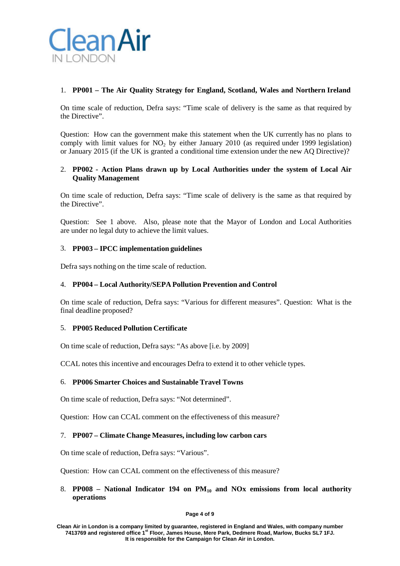

## 1. **PP001 – The Air Quality Strategy for England, Scotland, Wales and Northern Ireland**

On time scale of reduction, Defra says: "Time scale of delivery is the same as that required by the Directive".

Question: How can the government make this statement when the UK currently has no plans to comply with limit values for  $NO<sub>2</sub>$  by either January 2010 (as required under 1999 legislation) or January 2015 (if the UK is granted a conditional time extension under the new AQ Directive)?

## 2. **PP002 - Action Plans drawn up by Local Authorities under the system of Local Air Quality Management**

On time scale of reduction, Defra says: "Time scale of delivery is the same as that required by the Directive".

Question: See 1 above. Also, please note that the Mayor of London and Local Authorities are under no legal duty to achieve the limit values.

### 3. **PP003 – IPCC implementation guidelines**

Defra says nothing on the time scale of reduction.

### 4. **PP004 – Local Authority/SEPA Pollution Prevention and Control**

On time scale of reduction, Defra says: "Various for different measures". Question: What is the final deadline proposed?

### 5. **PP005 Reduced Pollution Certificate**

On time scale of reduction, Defra says: "As above [i.e. by 2009]

CCAL notes this incentive and encourages Defra to extend it to other vehicle types.

### 6. **PP006 Smarter Choices and Sustainable Travel Towns**

On time scale of reduction, Defra says: "Not determined".

Question: How can CCAL comment on the effectiveness of this measure?

### 7. **PP007 – Climate Change Measures, including low carbon cars**

On time scale of reduction, Defra says: "Various".

Question: How can CCAL comment on the effectiveness of this measure?

## 8. **PP008 – National Indicator 194 on PM10 and NOx emissions from local authority operations**

#### **Page 4 of 9**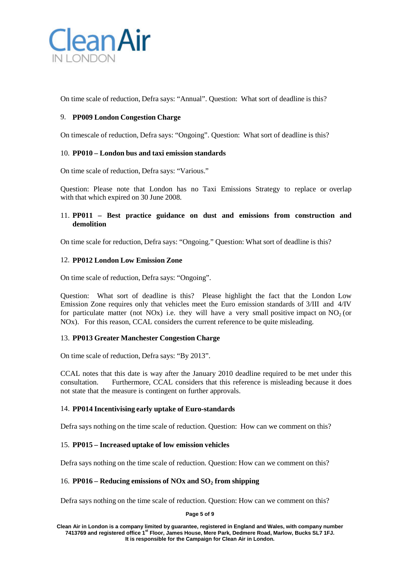

On time scale of reduction, Defra says: "Annual". Question: What sort of deadline is this?

# 9. **PP009 London Congestion Charge**

On timescale of reduction, Defra says: "Ongoing". Question: What sort of deadline is this?

## 10. **PP010 – London bus and taxi emission standards**

On time scale of reduction, Defra says: "Various."

Question: Please note that London has no Taxi Emissions Strategy to replace or overlap with that which expired on 30 June 2008.

## 11. **PP011 – Best practice guidance on dust and emissions from construction and demolition**

On time scale for reduction, Defra says: "Ongoing." Question: What sort of deadline is this?

### 12. **PP012 London Low Emission Zone**

On time scale of reduction, Defra says: "Ongoing".

Question: What sort of deadline is this? Please highlight the fact that the London Low Emission Zone requires only that vehicles meet the Euro emission standards of 3/III and 4/IV for particulate matter (not NOx) i.e. they will have a very small positive impact on  $NO<sub>2</sub>$  (or NOx). For this reason, CCAL considers the current reference to be quite misleading.

### 13. **PP013 Greater Manchester Congestion Charge**

On time scale of reduction, Defra says: "By 2013".

CCAL notes that this date is way after the January 2010 deadline required to be met under this consultation. Furthermore, CCAL considers that this reference is misleading because it does not state that the measure is contingent on further approvals.

### 14. **PP014 Incentivising early uptake of Euro-standards**

Defra says nothing on the time scale of reduction. Question: How can we comment on this?

### 15. **PP015 – Increased uptake of low emission vehicles**

Defra says nothing on the time scale of reduction. Question: How can we comment on this?

### 16. **PP016 – Reducing emissions of NOx and SO2 from shipping**

Defra says nothing on the time scale of reduction. Question: How can we comment on this?

**Page 5 of 9**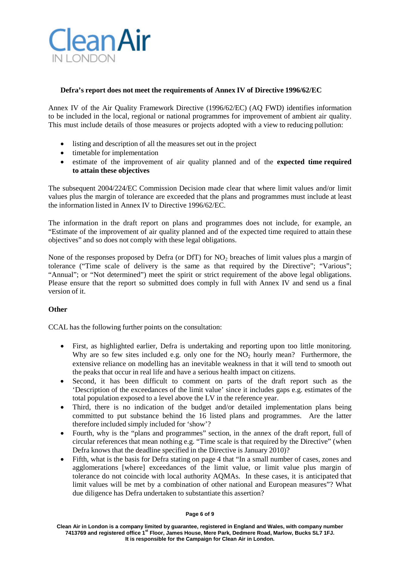

## **Defra's report does not meet the requirements of Annex IV of Directive 1996/62/EC**

Annex IV of the Air Quality Framework Directive (1996/62/EC) (AQ FWD) identifies information to be included in the local, regional or national programmes for improvement of ambient air quality. This must include details of those measures or projects adopted with a view to reducing pollution:

- listing and description of all the measures set out in the project
- timetable for implementation
- estimate of the improvement of air quality planned and of the **expected time required to attain these objectives**

The subsequent 2004/224/EC Commission Decision made clear that where limit values and/or limit values plus the margin of tolerance are exceeded that the plans and programmes must include at least the information listed in Annex IV to Directive 1996/62/EC.

The information in the draft report on plans and programmes does not include, for example, an "Estimate of the improvement of air quality planned and of the expected time required to attain these objectives" and so does not comply with these legal obligations.

None of the responses proposed by Defra (or DfT) for  $NO<sub>2</sub>$  breaches of limit values plus a margin of tolerance ("Time scale of delivery is the same as that required by the Directive"; "Various"; "Annual"; or "Not determined") meet the spirit or strict requirement of the above legal obligations. Please ensure that the report so submitted does comply in full with Annex IV and send us a final version of it.

### **Other**

CCAL has the following further points on the consultation:

- First, as highlighted earlier, Defra is undertaking and reporting upon too little monitoring. Why are so few sites included e.g. only one for the  $NO<sub>2</sub>$  hourly mean? Furthermore, the extensive reliance on modelling has an inevitable weakness in that it will tend to smooth out the peaks that occur in real life and have a serious health impact on citizens.
- Second, it has been difficult to comment on parts of the draft report such as the 'Description of the exceedances of the limit value' since it includes gaps e.g. estimates of the total population exposed to a level above the LV in the reference year.
- Third, there is no indication of the budget and/or detailed implementation plans being committed to put substance behind the 16 listed plans and programmes. Are the latter therefore included simply included for 'show'?
- Fourth, why is the "plans and programmes" section, in the annex of the draft report, full of circular references that mean nothing e.g. "Time scale is that required by the Directive" (when Defra knows that the deadline specified in the Directive is January 2010)?
- Fifth, what is the basis for Defra stating on page 4 that "In a small number of cases, zones and agglomerations [where] exceedances of the limit value, or limit value plus margin of tolerance do not coincide with local authority AQMAs. In these cases, it is anticipated that limit values will be met by a combination of other national and European measures"? What due diligence has Defra undertaken to substantiate this assertion?

#### **Page 6 of 9**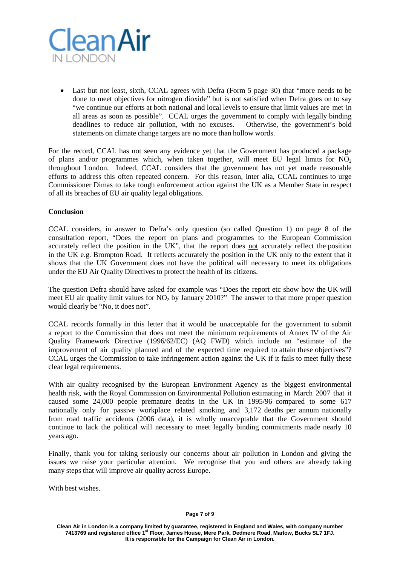

• Last but not least, sixth, CCAL agrees with Defra (Form 5 page 30) that "more needs to be done to meet objectives for nitrogen dioxide" but is not satisfied when Defra goes on to say "we continue our efforts at both national and local levels to ensure that limit values are met in all areas as soon as possible". CCAL urges the government to comply with legally binding deadlines to reduce air pollution, with no excuses. Otherwise, the government's bold statements on climate change targets are no more than hollow words.

For the record, CCAL has not seen any evidence yet that the Government has produced a package of plans and/or programmes which, when taken together, will meet EU legal limits for  $NO<sub>2</sub>$ throughout London. Indeed, CCAL considers that the government has not yet made reasonable efforts to address this often repeated concern. For this reason, inter alia, CCAL continues to urge Commissioner Dimas to take tough enforcement action against the UK as a Member State in respect of all its breaches of EU air quality legal obligations.

## **Conclusion**

CCAL considers, in answer to Defra's only question (so called Question 1) on page 8 of the consultation report, "Does the report on plans and programmes to the European Commission accurately reflect the position in the UK", that the report does not accurately reflect the position in the UK e.g. Brompton Road. It reflects accurately the position in the UK only to the extent that it shows that the UK Government does not have the political will necessary to meet its obligations under the EU Air Quality Directives to protect the health of its citizens.

The question Defra should have asked for example was "Does the report etc show how the UK will meet EU air quality limit values for  $NO<sub>2</sub>$  by January 2010?" The answer to that more proper question would clearly be "No, it does not".

CCAL records formally in this letter that it would be unacceptable for the government to submit a report to the Commission that does not meet the minimum requirements of Annex IV of the Air Quality Framework Directive (1996/62/EC) (AQ FWD) which include an "estimate of the improvement of air quality planned and of the expected time required to attain these objectives"? CCAL urges the Commission to take infringement action against the UK if it fails to meet fully these clear legal requirements.

With air quality recognised by the European Environment Agency as the biggest environmental health risk, with the Royal Commission on Environmental Pollution estimating in March 2007 that it caused some 24,000 people premature deaths in the UK in 1995/96 compared to some 617 nationally only for passive workplace related smoking and 3,172 deaths per annum nationally from road traffic accidents (2006 data), it is wholly unacceptable that the Government should continue to lack the political will necessary to meet legally binding commitments made nearly 10 years ago.

Finally, thank you for taking seriously our concerns about air pollution in London and giving the issues we raise your particular attention. We recognise that you and others are already taking many steps that will improve air quality across Europe.

With best wishes.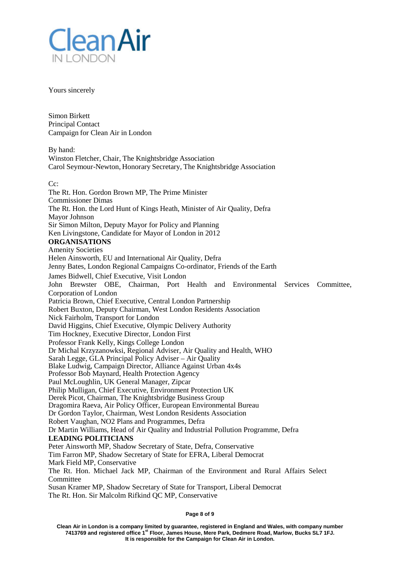

Yours sincerely

Simon Birkett Principal Contact Campaign for Clean Air in London

By hand: Winston Fletcher, Chair, The Knightsbridge Association Carol Seymour-Newton, Honorary Secretary, The Knightsbridge Association

Cc:

The Rt. Hon. Gordon Brown MP, The Prime Minister Commissioner Dimas The Rt. Hon. the Lord Hunt of Kings Heath, Minister of Air Quality, Defra Mayor Johnson Sir Simon Milton, Deputy Mayor for Policy and Planning Ken Livingstone, Candidate for Mayor of London in 2012 **ORGANISATIONS** Amenity Societies Helen Ainsworth, EU and International Air Quality, Defra Jenny Bates, London Regional Campaigns Co-ordinator, Friends of the Earth James Bidwell, Chief Executive, Visit London John Brewster OBE, Chairman, Port Health and Environmental Services Committee, Corporation of London Patricia Brown, Chief Executive, Central London Partnership Robert Buxton, Deputy Chairman, West London Residents Association Nick Fairholm, Transport for London David Higgins, Chief Executive, Olympic Delivery Authority Tim Hockney, Executive Director, London First Professor Frank Kelly, Kings College London Dr Michal Krzyzanowksi, Regional Adviser, Air Quality and Health, WHO Sarah Legge, GLA Principal Policy Adviser – Air Quality Blake Ludwig, Campaign Director, Alliance Against Urban 4x4s Professor Bob Maynard, Health Protection Agency Paul McLoughlin, UK General Manager, Zipcar Philip Mulligan, Chief Executive, Environment Protection UK Derek Picot, Chairman, The Knightsbridge Business Group Dragomira Raeva, Air Policy Officer, European Environmental Bureau Dr Gordon Taylor, Chairman, West London Residents Association Robert Vaughan, NO2 Plans and Programmes, Defra Dr Martin Williams, Head of Air Quality and Industrial Pollution Programme, Defra **LEADING POLITICIANS** Peter Ainsworth MP, Shadow Secretary of State, Defra, Conservative Tim Farron MP, Shadow Secretary of State for EFRA, Liberal Democrat Mark Field MP, Conservative The Rt. Hon. Michael Jack MP, Chairman of the Environment and Rural Affairs Select **Committee** Susan Kramer MP, Shadow Secretary of State for Transport, Liberal Democrat The Rt. Hon. Sir Malcolm Rifkind QC MP, Conservative

**Page 8 of 9**